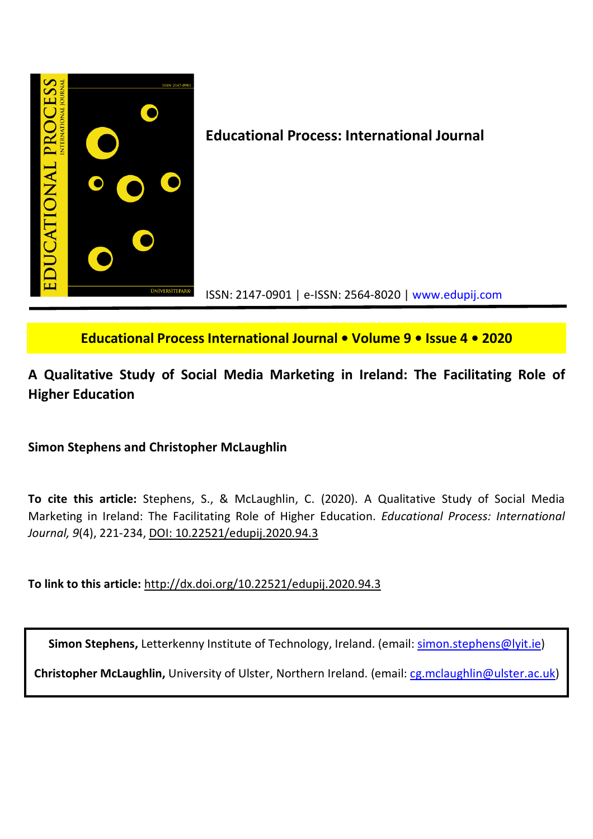

## **Educational Process International Journal • Volume 9 • Issue 4 • 2020**

# **A Qualitative Study of Social Media Marketing in Ireland: The Facilitating Role of Higher Education**

## **Simon Stephens and Christopher McLaughlin**

**To cite this article:** Stephens, S., & McLaughlin, C. (2020). A Qualitative Study of Social Media Marketing in Ireland: The Facilitating Role of Higher Education. *Educational Process: International Journal, 9*(4), 221-234, DOI: 10.22521/edupij.2020.94.3

**To link to this article:** http://dx.doi.org/10.22521/edupij.2020.94.3

Simon Stephens, Letterkenny Institute of Technology, Ireland. (email: simon.stephens@lyit.ie)

**Christopher McLaughlin,** University of Ulster, Northern Ireland. (email: cg.mclaughlin@ulster.ac.uk)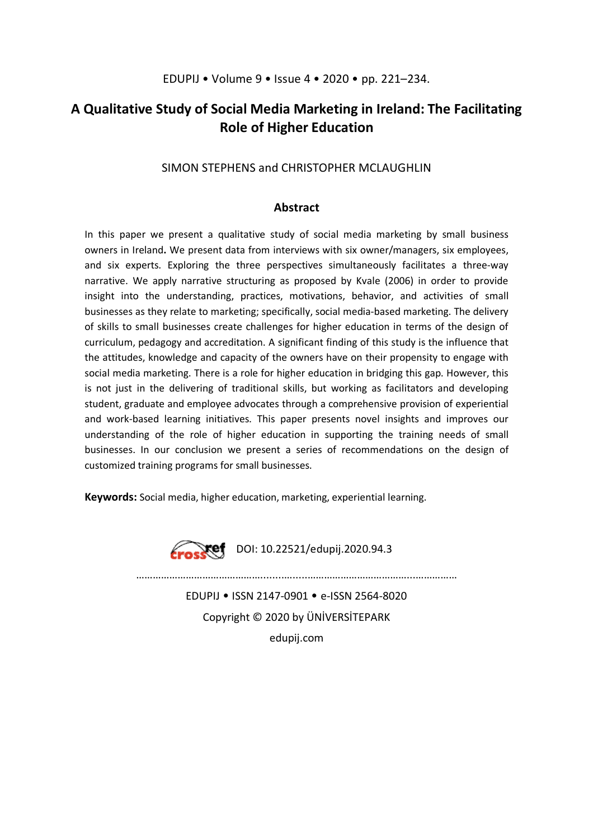## **A Qualitative Study of Social Media Marketing in Ireland: The Facilitating Role of Higher Education**

### SIMON STEPHENS and CHRISTOPHER MCLAUGHLIN

### **Abstract**

In this paper we present a qualitative study of social media marketing by small business owners in Ireland**.** We present data from interviews with six owner/managers, six employees, and six experts. Exploring the three perspectives simultaneously facilitates a three-way narrative. We apply narrative structuring as proposed by Kvale (2006) in order to provide insight into the understanding, practices, motivations, behavior, and activities of small businesses as they relate to marketing; specifically, social media-based marketing. The delivery of skills to small businesses create challenges for higher education in terms of the design of curriculum, pedagogy and accreditation. A significant finding of this study is the influence that the attitudes, knowledge and capacity of the owners have on their propensity to engage with social media marketing. There is a role for higher education in bridging this gap. However, this is not just in the delivering of traditional skills, but working as facilitators and developing student, graduate and employee advocates through a comprehensive provision of experiential and work-based learning initiatives. This paper presents novel insights and improves our understanding of the role of higher education in supporting the training needs of small businesses. In our conclusion we present a series of recommendations on the design of customized training programs for small businesses.

**Keywords:** Social media, higher education, marketing, experiential learning.



………………………………………........….....………………………………...…………… EDUPIJ • ISSN 2147-0901 • e-ISSN 2564-8020

Copyright © 2020 by ÜNİVERSİTEPARK edupij.com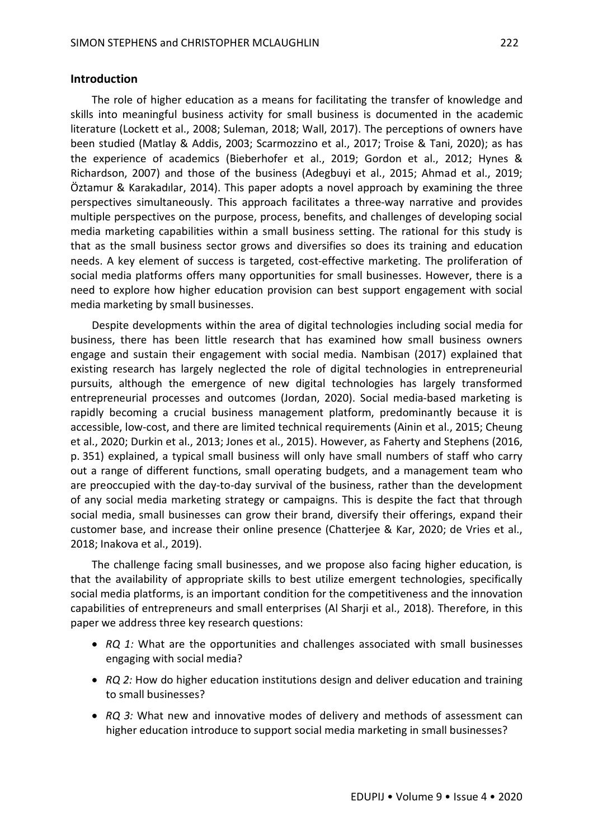#### **Introduction**

The role of higher education as a means for facilitating the transfer of knowledge and skills into meaningful business activity for small business is documented in the academic literature (Lockett et al., 2008; Suleman, 2018; Wall, 2017). The perceptions of owners have been studied (Matlay & Addis, 2003; Scarmozzino et al., 2017; Troise & Tani, 2020); as has the experience of academics (Bieberhofer et al., 2019; Gordon et al., 2012; Hynes & Richardson, 2007) and those of the business (Adegbuyi et al., 2015; Ahmad et al., 2019; Öztamur & Karakadılar, 2014). This paper adopts a novel approach by examining the three perspectives simultaneously. This approach facilitates a three-way narrative and provides multiple perspectives on the purpose, process, benefits, and challenges of developing social media marketing capabilities within a small business setting. The rational for this study is that as the small business sector grows and diversifies so does its training and education needs. A key element of success is targeted, cost-effective marketing. The proliferation of social media platforms offers many opportunities for small businesses. However, there is a need to explore how higher education provision can best support engagement with social media marketing by small businesses.

Despite developments within the area of digital technologies including social media for business, there has been little research that has examined how small business owners engage and sustain their engagement with social media. Nambisan (2017) explained that existing research has largely neglected the role of digital technologies in entrepreneurial pursuits, although the emergence of new digital technologies has largely transformed entrepreneurial processes and outcomes (Jordan, 2020). Social media-based marketing is rapidly becoming a crucial business management platform, predominantly because it is accessible, low-cost, and there are limited technical requirements (Ainin et al., 2015; Cheung et al., 2020; Durkin et al., 2013; Jones et al., 2015). However, as Faherty and Stephens (2016, p. 351) explained, a typical small business will only have small numbers of staff who carry out a range of different functions, small operating budgets, and a management team who are preoccupied with the day-to-day survival of the business, rather than the development of any social media marketing strategy or campaigns. This is despite the fact that through social media, small businesses can grow their brand, diversify their offerings, expand their customer base, and increase their online presence (Chatterjee & Kar, 2020; de Vries et al., 2018; Inakova et al., 2019).

The challenge facing small businesses, and we propose also facing higher education, is that the availability of appropriate skills to best utilize emergent technologies, specifically social media platforms, is an important condition for the competitiveness and the innovation capabilities of entrepreneurs and small enterprises (Al Sharji et al., 2018). Therefore, in this paper we address three key research questions:

- *RQ 1:* What are the opportunities and challenges associated with small businesses engaging with social media?
- *RQ 2:* How do higher education institutions design and deliver education and training to small businesses?
- *RQ 3:* What new and innovative modes of delivery and methods of assessment can higher education introduce to support social media marketing in small businesses?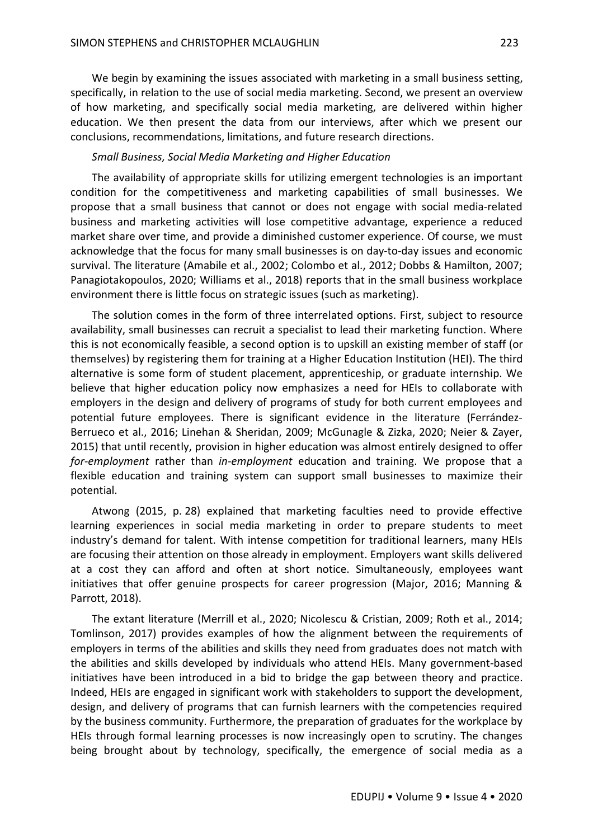We begin by examining the issues associated with marketing in a small business setting, specifically, in relation to the use of social media marketing. Second, we present an overview of how marketing, and specifically social media marketing, are delivered within higher education. We then present the data from our interviews, after which we present our conclusions, recommendations, limitations, and future research directions.

#### *Small Business, Social Media Marketing and Higher Education*

The availability of appropriate skills for utilizing emergent technologies is an important condition for the competitiveness and marketing capabilities of small businesses. We propose that a small business that cannot or does not engage with social media-related business and marketing activities will lose competitive advantage, experience a reduced market share over time, and provide a diminished customer experience. Of course, we must acknowledge that the focus for many small businesses is on day-to-day issues and economic survival. The literature (Amabile et al., 2002; Colombo et al., 2012; Dobbs & Hamilton, 2007; Panagiotakopoulos, 2020; Williams et al., 2018) reports that in the small business workplace environment there is little focus on strategic issues (such as marketing).

The solution comes in the form of three interrelated options. First, subject to resource availability, small businesses can recruit a specialist to lead their marketing function. Where this is not economically feasible, a second option is to upskill an existing member of staff (or themselves) by registering them for training at a Higher Education Institution (HEI). The third alternative is some form of student placement, apprenticeship, or graduate internship. We believe that higher education policy now emphasizes a need for HEIs to collaborate with employers in the design and delivery of programs of study for both current employees and potential future employees. There is significant evidence in the literature (Ferrández-Berrueco et al., 2016; Linehan & Sheridan, 2009; McGunagle & Zizka, 2020; Neier & Zayer, 2015) that until recently, provision in higher education was almost entirely designed to offer *for-employment* rather than *in-employment* education and training. We propose that a flexible education and training system can support small businesses to maximize their potential.

Atwong (2015, p. 28) explained that marketing faculties need to provide effective learning experiences in social media marketing in order to prepare students to meet industry's demand for talent. With intense competition for traditional learners, many HEIs are focusing their attention on those already in employment. Employers want skills delivered at a cost they can afford and often at short notice. Simultaneously, employees want initiatives that offer genuine prospects for career progression (Major, 2016; Manning & Parrott, 2018).

The extant literature (Merrill et al., 2020; Nicolescu & Cristian, 2009; Roth et al., 2014; Tomlinson, 2017) provides examples of how the alignment between the requirements of employers in terms of the abilities and skills they need from graduates does not match with the abilities and skills developed by individuals who attend HEIs. Many government-based initiatives have been introduced in a bid to bridge the gap between theory and practice. Indeed, HEIs are engaged in significant work with stakeholders to support the development, design, and delivery of programs that can furnish learners with the competencies required by the business community. Furthermore, the preparation of graduates for the workplace by HEIs through formal learning processes is now increasingly open to scrutiny. The changes being brought about by technology, specifically, the emergence of social media as a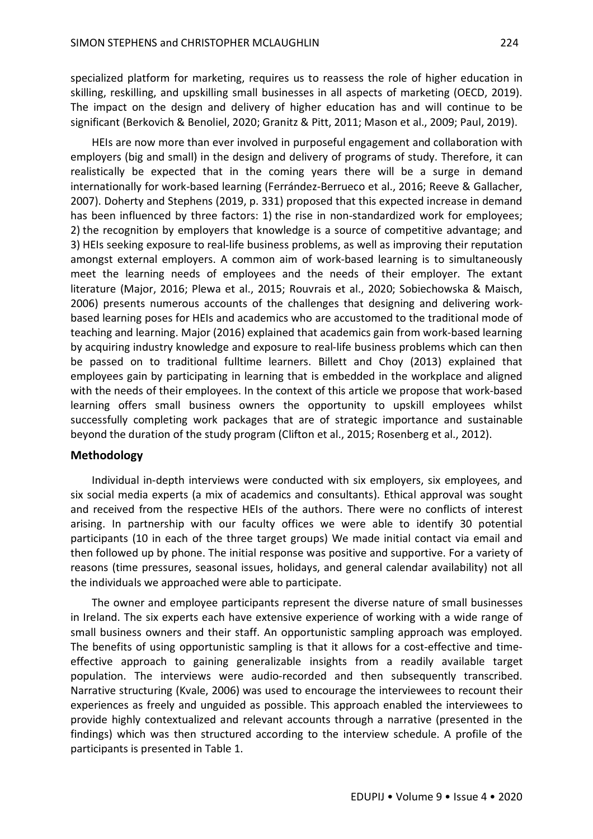specialized platform for marketing, requires us to reassess the role of higher education in skilling, reskilling, and upskilling small businesses in all aspects of marketing (OECD, 2019). The impact on the design and delivery of higher education has and will continue to be significant (Berkovich & Benoliel, 2020; Granitz & Pitt, 2011; Mason et al., 2009; Paul, 2019).

HEIs are now more than ever involved in purposeful engagement and collaboration with employers (big and small) in the design and delivery of programs of study. Therefore, it can realistically be expected that in the coming years there will be a surge in demand internationally for work-based learning (Ferrández-Berrueco et al., 2016; Reeve & Gallacher, 2007). Doherty and Stephens (2019, p. 331) proposed that this expected increase in demand has been influenced by three factors: 1) the rise in non-standardized work for employees; 2) the recognition by employers that knowledge is a source of competitive advantage; and 3) HEIs seeking exposure to real-life business problems, as well as improving their reputation amongst external employers. A common aim of work-based learning is to simultaneously meet the learning needs of employees and the needs of their employer. The extant literature (Major, 2016; Plewa et al., 2015; Rouvrais et al., 2020; Sobiechowska & Maisch, 2006) presents numerous accounts of the challenges that designing and delivering workbased learning poses for HEIs and academics who are accustomed to the traditional mode of teaching and learning. Major (2016) explained that academics gain from work-based learning by acquiring industry knowledge and exposure to real-life business problems which can then be passed on to traditional fulltime learners. Billett and Choy (2013) explained that employees gain by participating in learning that is embedded in the workplace and aligned with the needs of their employees. In the context of this article we propose that work-based learning offers small business owners the opportunity to upskill employees whilst successfully completing work packages that are of strategic importance and sustainable beyond the duration of the study program (Clifton et al., 2015; Rosenberg et al., 2012).

#### **Methodology**

Individual in-depth interviews were conducted with six employers, six employees, and six social media experts (a mix of academics and consultants). Ethical approval was sought and received from the respective HEIs of the authors. There were no conflicts of interest arising. In partnership with our faculty offices we were able to identify 30 potential participants (10 in each of the three target groups) We made initial contact via email and then followed up by phone. The initial response was positive and supportive. For a variety of reasons (time pressures, seasonal issues, holidays, and general calendar availability) not all the individuals we approached were able to participate.

The owner and employee participants represent the diverse nature of small businesses in Ireland. The six experts each have extensive experience of working with a wide range of small business owners and their staff. An opportunistic sampling approach was employed. The benefits of using opportunistic sampling is that it allows for a cost-effective and timeeffective approach to gaining generalizable insights from a readily available target population. The interviews were audio-recorded and then subsequently transcribed. Narrative structuring (Kvale, 2006) was used to encourage the interviewees to recount their experiences as freely and unguided as possible. This approach enabled the interviewees to provide highly contextualized and relevant accounts through a narrative (presented in the findings) which was then structured according to the interview schedule. A profile of the participants is presented in Table 1.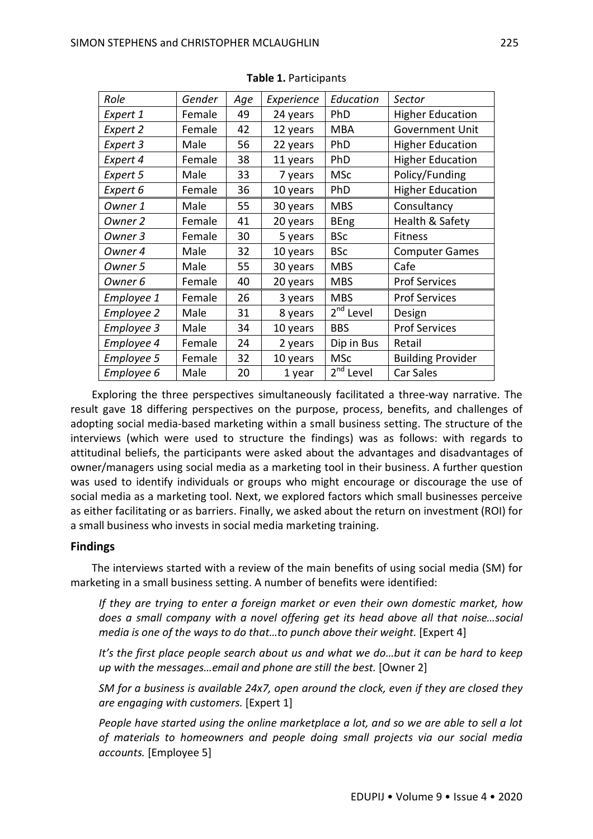| Role              | Gender | Age | Experience | Education             | Sector                   |
|-------------------|--------|-----|------------|-----------------------|--------------------------|
| Expert 1          | Female | 49  | 24 years   | PhD                   | <b>Higher Education</b>  |
| Expert 2          | Female | 42  | 12 years   | <b>MBA</b>            | <b>Government Unit</b>   |
| Expert 3          | Male   | 56  | 22 years   | PhD                   | <b>Higher Education</b>  |
| Expert 4          | Female | 38  | 11 years   | PhD                   | <b>Higher Education</b>  |
| Expert 5          | Male   | 33  | 7 years    | <b>MSc</b>            | Policy/Funding           |
| Expert 6          | Female | 36  | 10 years   | PhD                   | <b>Higher Education</b>  |
| Owner 1           | Male   | 55  | 30 years   | <b>MBS</b>            | Consultancy              |
| Owner 2           | Female | 41  | 20 years   | <b>BEng</b>           | Health & Safety          |
| Owner 3           | Female | 30  | 5 years    | <b>BSc</b>            | <b>Fitness</b>           |
| Owner 4           | Male   | 32  | 10 years   | <b>BSc</b>            | <b>Computer Games</b>    |
| Owner 5           | Male   | 55  | 30 years   | <b>MBS</b>            | Cafe                     |
| Owner 6           | Female | 40  | 20 years   | <b>MBS</b>            | <b>Prof Services</b>     |
| Employee 1        | Female | 26  | 3 years    | <b>MBS</b>            | <b>Prof Services</b>     |
| <b>Employee 2</b> | Male   | 31  | 8 years    | 2 <sup>nd</sup> Level | Design                   |
| <b>Employee 3</b> | Male   | 34  | 10 years   | <b>BBS</b>            | <b>Prof Services</b>     |
| Employee 4        | Female | 24  | 2 years    | Dip in Bus            | Retail                   |
| Employee 5        | Female | 32  | 10 years   | <b>MSc</b>            | <b>Building Provider</b> |
| Employee 6        | Male   | 20  | 1 year     | 2 <sup>nd</sup> Level | <b>Car Sales</b>         |

**Table 1.** Participants

Exploring the three perspectives simultaneously facilitated a three-way narrative. The result gave 18 differing perspectives on the purpose, process, benefits, and challenges of adopting social media-based marketing within a small business setting. The structure of the interviews (which were used to structure the findings) was as follows: with regards to attitudinal beliefs, the participants were asked about the advantages and disadvantages of owner/managers using social media as a marketing tool in their business. A further question was used to identify individuals or groups who might encourage or discourage the use of social media as a marketing tool. Next, we explored factors which small businesses perceive as either facilitating or as barriers. Finally, we asked about the return on investment (ROI) for a small business who invests in social media marketing training.

### **Findings**

The interviews started with a review of the main benefits of using social media (SM) for marketing in a small business setting. A number of benefits were identified:

*If they are trying to enter a foreign market or even their own domestic market, how does a small company with a novel offering get its head above all that noise…social media is one of the ways to do that…to punch above their weight.* [Expert 4]

*It's the first place people search about us and what we do…but it can be hard to keep up with the messages…email and phone are still the best.* [Owner 2]

*SM for a business is available 24x7, open around the clock, even if they are closed they are engaging with customers.* [Expert 1]

*People have started using the online marketplace a lot, and so we are able to sell a lot of materials to homeowners and people doing small projects via our social media accounts.* [Employee 5]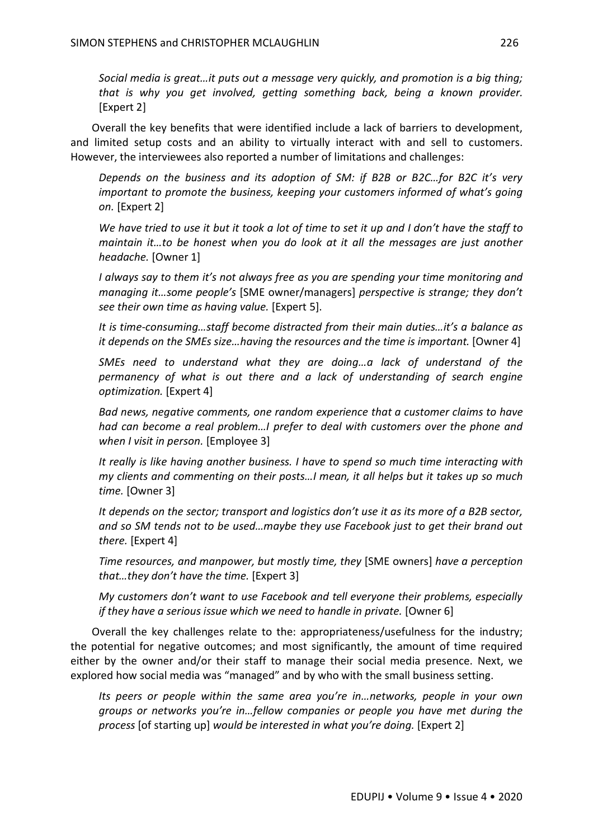*Social media is great…it puts out a message very quickly, and promotion is a big thing; that is why you get involved, getting something back, being a known provider.*  [Expert 2]

Overall the key benefits that were identified include a lack of barriers to development, and limited setup costs and an ability to virtually interact with and sell to customers. However, the interviewees also reported a number of limitations and challenges:

*Depends on the business and its adoption of SM: if B2B or B2C…for B2C it's very important to promote the business, keeping your customers informed of what's going on.* [Expert 2]

*We have tried to use it but it took a lot of time to set it up and I don't have the staff to maintain it…to be honest when you do look at it all the messages are just another headache.* [Owner 1]

*I always say to them it's not always free as you are spending your time monitoring and managing it…some people's* [SME owner/managers] *perspective is strange; they don't see their own time as having value.* [Expert 5].

*It is time-consuming…staff become distracted from their main duties…it's a balance as it depends on the SMEs size...having the resources and the time is important.* [Owner 4]

*SMEs need to understand what they are doing…a lack of understand of the permanency of what is out there and a lack of understanding of search engine optimization.* [Expert 4]

*Bad news, negative comments, one random experience that a customer claims to have had can become a real problem…I prefer to deal with customers over the phone and when I visit in person.* [Employee 3]

*It really is like having another business. I have to spend so much time interacting with my clients and commenting on their posts…I mean, it all helps but it takes up so much time.* [Owner 3]

*It depends on the sector; transport and logistics don't use it as its more of a B2B sector, and so SM tends not to be used…maybe they use Facebook just to get their brand out there.* [Expert 4]

*Time resources, and manpower, but mostly time, they* [SME owners] *have a perception that…they don't have the time.* [Expert 3]

*My customers don't want to use Facebook and tell everyone their problems, especially if they have a serious issue which we need to handle in private.* [Owner 6]

Overall the key challenges relate to the: appropriateness/usefulness for the industry; the potential for negative outcomes; and most significantly, the amount of time required either by the owner and/or their staff to manage their social media presence. Next, we explored how social media was "managed" and by who with the small business setting.

*Its peers or people within the same area you're in…networks, people in your own groups or networks you're in…fellow companies or people you have met during the process* [of starting up] *would be interested in what you're doing.* [Expert 2]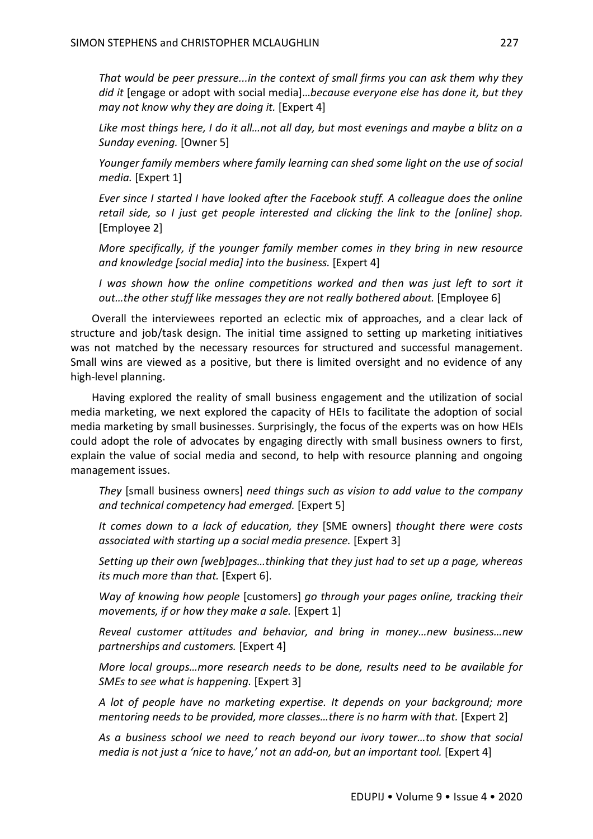*That would be peer pressure...in the context of small firms you can ask them why they did it* [engage or adopt with social media]…*because everyone else has done it, but they may not know why they are doing it.* [Expert 4]

*Like most things here, I do it all…not all day, but most evenings and maybe a blitz on a Sunday evening.* [Owner 5]

*Younger family members where family learning can shed some light on the use of social media.* [Expert 1]

*Ever since I started I have looked after the Facebook stuff. A colleague does the online retail side, so I just get people interested and clicking the link to the [online] shop.* [Employee 2]

*More specifically, if the younger family member comes in they bring in new resource and knowledge [social media] into the business.* [Expert 4]

*I was shown how the online competitions worked and then was just left to sort it out...the other stuff like messages they are not really bothered about.* [Employee 6]

Overall the interviewees reported an eclectic mix of approaches, and a clear lack of structure and job/task design. The initial time assigned to setting up marketing initiatives was not matched by the necessary resources for structured and successful management. Small wins are viewed as a positive, but there is limited oversight and no evidence of any high-level planning.

Having explored the reality of small business engagement and the utilization of social media marketing, we next explored the capacity of HEIs to facilitate the adoption of social media marketing by small businesses. Surprisingly, the focus of the experts was on how HEIs could adopt the role of advocates by engaging directly with small business owners to first, explain the value of social media and second, to help with resource planning and ongoing management issues.

*They* [small business owners] *need things such as vision to add value to the company and technical competency had emerged.* [Expert 5]

*It comes down to a lack of education, they* [SME owners] *thought there were costs associated with starting up a social media presence.* [Expert 3]

*Setting up their own [web]pages…thinking that they just had to set up a page, whereas its much more than that.* [Expert 6].

*Way of knowing how people* [customers] *go through your pages online, tracking their movements, if or how they make a sale.* [Expert 1]

*Reveal customer attitudes and behavior, and bring in money…new business…new partnerships and customers.* [Expert 4]

*More local groups…more research needs to be done, results need to be available for SMEs to see what is happening.* [Expert 3]

*A lot of people have no marketing expertise. It depends on your background; more mentoring needs to be provided, more classes…there is no harm with that.* [Expert 2]

*As a business school we need to reach beyond our ivory tower…to show that social media is not just a 'nice to have,' not an add-on, but an important tool.* [Expert 4]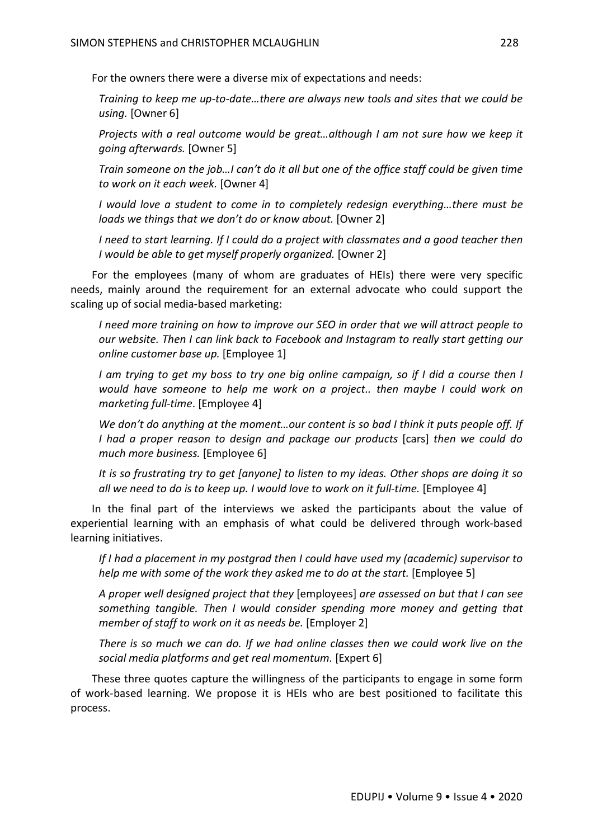For the owners there were a diverse mix of expectations and needs:

*Training to keep me up-to-date…there are always new tools and sites that we could be using.* [Owner 6]

*Projects with a real outcome would be great…although I am not sure how we keep it going afterwards.* [Owner 5]

*Train someone on the job…I can't do it all but one of the office staff could be given time to work on it each week.* [Owner 4]

*I* would love a student to come in to completely redesign everything...there must be *loads we things that we don't do or know about.* [Owner 2]

*I need to start learning. If I could do a project with classmates and a good teacher then I would be able to get myself properly organized.* [Owner 2]

For the employees (many of whom are graduates of HEIs) there were very specific needs, mainly around the requirement for an external advocate who could support the scaling up of social media-based marketing:

*I need more training on how to improve our SEO in order that we will attract people to our website. Then I can link back to Facebook and Instagram to really start getting our online customer base up.* [Employee 1]

*I am trying to get my boss to try one big online campaign, so if I did a course then I would have someone to help me work on a project.. then maybe I could work on marketing full-time*. [Employee 4]

*We don't do anything at the moment…our content is so bad I think it puts people off. If I had a proper reason to design and package our products* [cars] *then we could do much more business.* [Employee 6]

*It is so frustrating try to get [anyone] to listen to my ideas. Other shops are doing it so all we need to do is to keep up. I would love to work on it full-time.* [Employee 4]

In the final part of the interviews we asked the participants about the value of experiential learning with an emphasis of what could be delivered through work-based learning initiatives.

*If I had a placement in my postgrad then I could have used my (academic) supervisor to help me with some of the work they asked me to do at the start.* [Employee 5]

*A proper well designed project that they* [employees] *are assessed on but that I can see something tangible. Then I would consider spending more money and getting that member of staff to work on it as needs be.* [Employer 2]

*There is so much we can do. If we had online classes then we could work live on the social media platforms and get real momentum.* [Expert 6]

These three quotes capture the willingness of the participants to engage in some form of work-based learning. We propose it is HEIs who are best positioned to facilitate this process.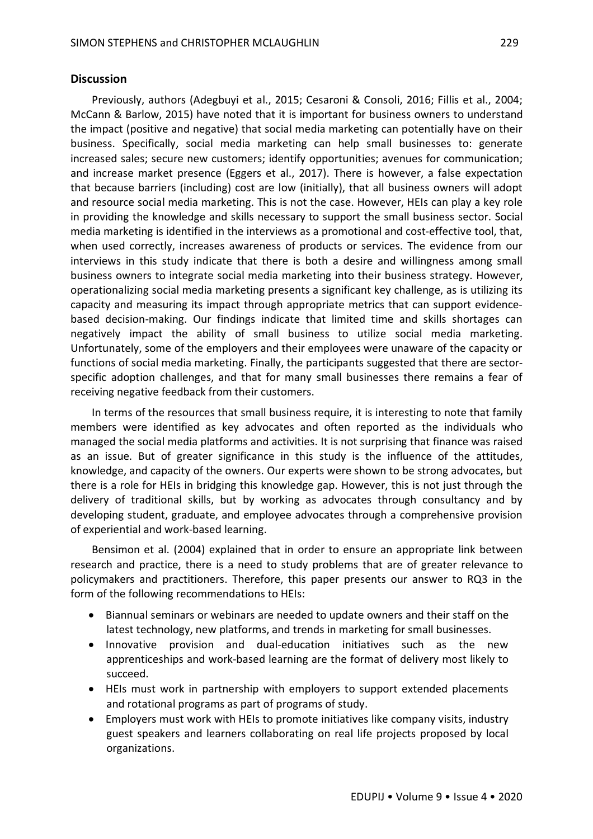### **Discussion**

Previously, authors (Adegbuyi et al., 2015; Cesaroni & Consoli, 2016; Fillis et al., 2004; McCann & Barlow, 2015) have noted that it is important for business owners to understand the impact (positive and negative) that social media marketing can potentially have on their business. Specifically, social media marketing can help small businesses to: generate increased sales; secure new customers; identify opportunities; avenues for communication; and increase market presence (Eggers et al., 2017). There is however, a false expectation that because barriers (including) cost are low (initially), that all business owners will adopt and resource social media marketing. This is not the case. However, HEIs can play a key role in providing the knowledge and skills necessary to support the small business sector. Social media marketing is identified in the interviews as a promotional and cost-effective tool, that, when used correctly, increases awareness of products or services. The evidence from our interviews in this study indicate that there is both a desire and willingness among small business owners to integrate social media marketing into their business strategy. However, operationalizing social media marketing presents a significant key challenge, as is utilizing its capacity and measuring its impact through appropriate metrics that can support evidencebased decision-making. Our findings indicate that limited time and skills shortages can negatively impact the ability of small business to utilize social media marketing. Unfortunately, some of the employers and their employees were unaware of the capacity or functions of social media marketing. Finally, the participants suggested that there are sectorspecific adoption challenges, and that for many small businesses there remains a fear of receiving negative feedback from their customers.

In terms of the resources that small business require, it is interesting to note that family members were identified as key advocates and often reported as the individuals who managed the social media platforms and activities. It is not surprising that finance was raised as an issue. But of greater significance in this study is the influence of the attitudes, knowledge, and capacity of the owners. Our experts were shown to be strong advocates, but there is a role for HEIs in bridging this knowledge gap. However, this is not just through the delivery of traditional skills, but by working as advocates through consultancy and by developing student, graduate, and employee advocates through a comprehensive provision of experiential and work-based learning.

Bensimon et al. (2004) explained that in order to ensure an appropriate link between research and practice, there is a need to study problems that are of greater relevance to policymakers and practitioners. Therefore, this paper presents our answer to RQ3 in the form of the following recommendations to HEIs:

- Biannual seminars or webinars are needed to update owners and their staff on the latest technology, new platforms, and trends in marketing for small businesses.
- Innovative provision and dual-education initiatives such as the new apprenticeships and work-based learning are the format of delivery most likely to succeed.
- HEIs must work in partnership with employers to support extended placements and rotational programs as part of programs of study.
- Employers must work with HEIs to promote initiatives like company visits, industry guest speakers and learners collaborating on real life projects proposed by local organizations.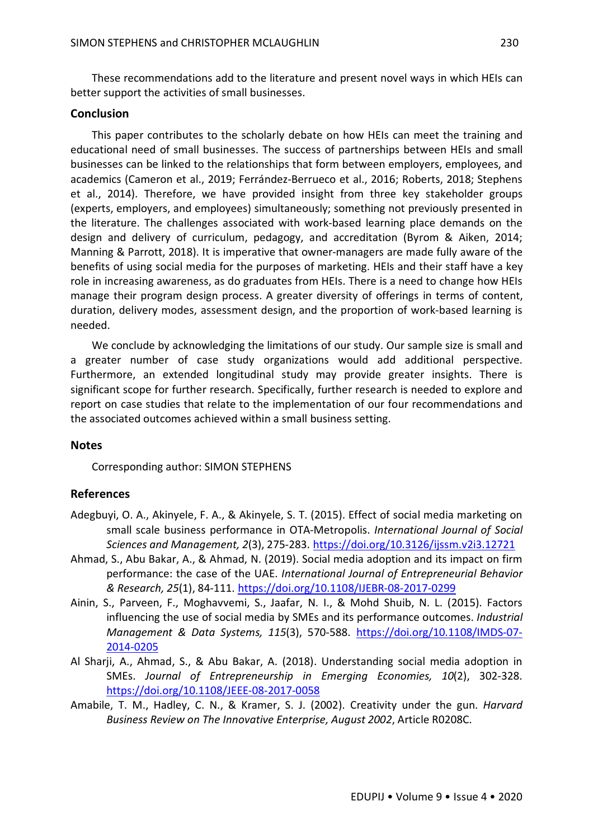These recommendations add to the literature and present novel ways in which HEIs can better support the activities of small businesses.

#### **Conclusion**

This paper contributes to the scholarly debate on how HEIs can meet the training and educational need of small businesses. The success of partnerships between HEIs and small businesses can be linked to the relationships that form between employers, employees, and academics (Cameron et al., 2019; Ferrández-Berrueco et al., 2016; Roberts, 2018; Stephens et al., 2014). Therefore, we have provided insight from three key stakeholder groups (experts, employers, and employees) simultaneously; something not previously presented in the literature. The challenges associated with work-based learning place demands on the design and delivery of curriculum, pedagogy, and accreditation (Byrom & Aiken, 2014; Manning & Parrott, 2018). It is imperative that owner-managers are made fully aware of the benefits of using social media for the purposes of marketing. HEIs and their staff have a key role in increasing awareness, as do graduates from HEIs. There is a need to change how HEIs manage their program design process. A greater diversity of offerings in terms of content, duration, delivery modes, assessment design, and the proportion of work-based learning is needed.

We conclude by acknowledging the limitations of our study. Our sample size is small and a greater number of case study organizations would add additional perspective. Furthermore, an extended longitudinal study may provide greater insights. There is significant scope for further research. Specifically, further research is needed to explore and report on case studies that relate to the implementation of our four recommendations and the associated outcomes achieved within a small business setting.

#### **Notes**

Corresponding author: SIMON STEPHENS

#### **References**

- Adegbuyi, O. A., Akinyele, F. A., & Akinyele, S. T. (2015). Effect of social media marketing on small scale business performance in OTA-Metropolis. *International Journal of Social Sciences and Management, 2*(3), 275-283. https://doi.org/10.3126/ijssm.v2i3.12721
- Ahmad, S., Abu Bakar, A., & Ahmad, N. (2019). Social media adoption and its impact on firm performance: the case of the UAE. *International Journal of Entrepreneurial Behavior & Research, 25*(1), 84-111. https://doi.org/10.1108/IJEBR-08-2017-0299
- Ainin, S., Parveen, F., Moghavvemi, S., Jaafar, N. I., & Mohd Shuib, N. L. (2015). Factors influencing the use of social media by SMEs and its performance outcomes. *Industrial Management & Data Systems, 115*(3), 570-588. https://doi.org/10.1108/IMDS-07- 2014-0205
- Al Sharji, A., Ahmad, S., & Abu Bakar, A. (2018). Understanding social media adoption in SMEs. *Journal of Entrepreneurship in Emerging Economies, 10*(2), 302-328. https://doi.org/10.1108/JEEE-08-2017-0058
- Amabile, T. M., Hadley, C. N., & Kramer, S. J. (2002). Creativity under the gun. *Harvard Business Review on The Innovative Enterprise, August 2002*, Article R0208C.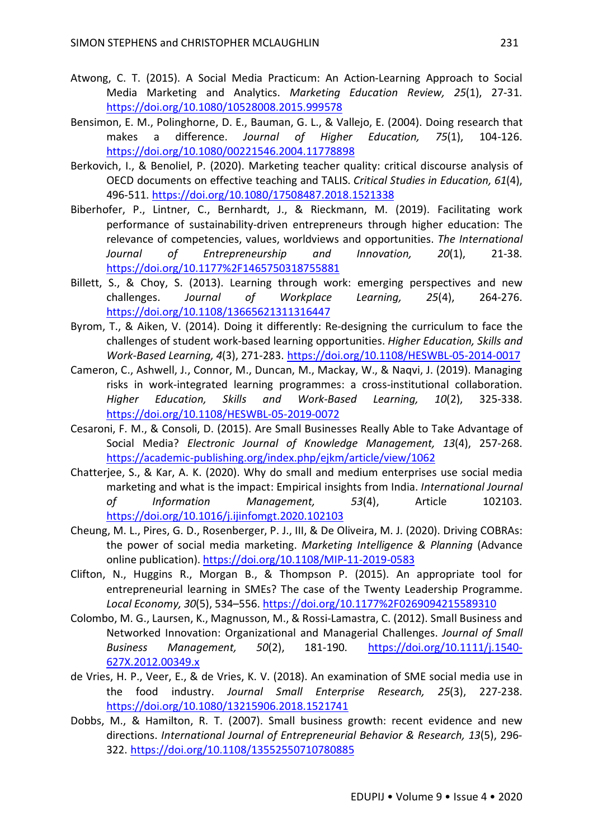- Atwong, C. T. (2015). A Social Media Practicum: An Action-Learning Approach to Social Media Marketing and Analytics. *Marketing Education Review, 25*(1), 27-31. https://doi.org/10.1080/10528008.2015.999578
- Bensimon, E. M., Polinghorne, D. E., Bauman, G. L., & Vallejo, E. (2004). Doing research that makes a difference. *Journal of Higher Education, 75*(1), 104-126. https://doi.org/10.1080/00221546.2004.11778898
- Berkovich, I., & Benoliel, P. (2020). Marketing teacher quality: critical discourse analysis of OECD documents on effective teaching and TALIS. *Critical Studies in Education, 61*(4), 496-511. https://doi.org/10.1080/17508487.2018.1521338
- Biberhofer, P., Lintner, C., Bernhardt, J., & Rieckmann, M. (2019). Facilitating work performance of sustainability-driven entrepreneurs through higher education: The relevance of competencies, values, worldviews and opportunities. *The International Journal of Entrepreneurship and Innovation, 20*(1), 21-38. https://doi.org/10.1177%2F1465750318755881
- Billett, S., & Choy, S. (2013). Learning through work: emerging perspectives and new challenges. *Journal of Workplace Learning, 25*(4), 264-276. https://doi.org/10.1108/13665621311316447
- Byrom, T., & Aiken, V. (2014). Doing it differently: Re-designing the curriculum to face the challenges of student work-based learning opportunities. *Higher Education, Skills and Work-Based Learning, 4*(3), 271-283. https://doi.org/10.1108/HESWBL-05-2014-0017
- Cameron, C., Ashwell, J., Connor, M., Duncan, M., Mackay, W., & Naqvi, J. (2019). Managing risks in work-integrated learning programmes: a cross-institutional collaboration. *Higher Education, Skills and Work-Based Learning, 10*(2), 325-338. https://doi.org/10.1108/HESWBL-05-2019-0072
- Cesaroni, F. M., & Consoli, D. (2015). Are Small Businesses Really Able to Take Advantage of Social Media? *Electronic Journal of Knowledge Management, 13*(4), 257-268. https://academic-publishing.org/index.php/ejkm/article/view/1062
- Chatterjee, S., & Kar, A. K. (2020). Why do small and medium enterprises use social media marketing and what is the impact: Empirical insights from India. *International Journal of Information Management, 53*(4), Article 102103. https://doi.org/10.1016/j.ijinfomgt.2020.102103
- Cheung, M. L., Pires, G. D., Rosenberger, P. J., III, & De Oliveira, M. J. (2020). Driving COBRAs: the power of social media marketing. *Marketing Intelligence & Planning* (Advance online publication). https://doi.org/10.1108/MIP-11-2019-0583
- Clifton, N., Huggins R., Morgan B., & Thompson P. (2015). An appropriate tool for entrepreneurial learning in SMEs? The case of the Twenty Leadership Programme. *Local Economy, 30*(5), 534–556. https://doi.org/10.1177%2F0269094215589310
- Colombo, M. G., Laursen, K., Magnusson, M., & Rossi-Lamastra, C. (2012). Small Business and Networked Innovation: Organizational and Managerial Challenges. *Journal of Small Business Management, 50*(2), 181-190. https://doi.org/10.1111/j.1540- 627X.2012.00349.x
- de Vries, H. P., Veer, E., & de Vries, K. V. (2018). An examination of SME social media use in the food industry. *Journal Small Enterprise Research, 25*(3), 227-238. https://doi.org/10.1080/13215906.2018.1521741
- Dobbs, M., & Hamilton, R. T. (2007). Small business growth: recent evidence and new directions. *International Journal of Entrepreneurial Behavior & Research, 13*(5), 296- 322. https://doi.org/10.1108/13552550710780885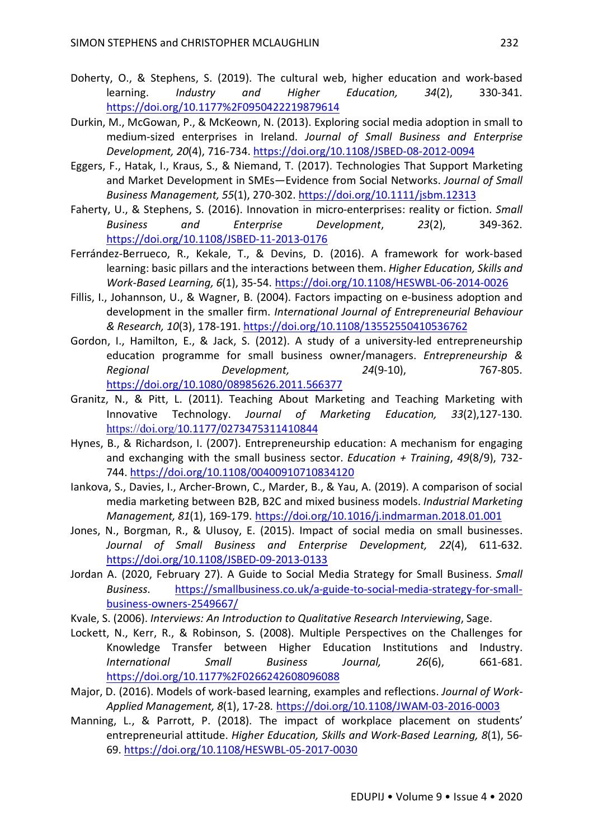- Doherty, O., & Stephens, S. (2019). The cultural web, higher education and work-based learning. *Industry and Higher Education, 34*(2), 330-341. https://doi.org/10.1177%2F0950422219879614
- Durkin, M., McGowan, P., & McKeown, N. (2013). Exploring social media adoption in small to medium-sized enterprises in Ireland. *Journal of Small Business and Enterprise Development, 20*(4), 716-734. https://doi.org/10.1108/JSBED-08-2012-0094
- Eggers, F., Hatak, I., Kraus, S., & Niemand, T. (2017). Technologies That Support Marketing and Market Development in SMEs—Evidence from Social Networks. *Journal of Small Business Management, 55*(1), 270-302. https://doi.org/10.1111/jsbm.12313
- Faherty, U., & Stephens, S. (2016). Innovation in micro-enterprises: reality or fiction. *Small Business and Enterprise Development*, *23*(2), 349-362. https://doi.org/10.1108/JSBED-11-2013-0176
- Ferrández-Berrueco, R., Kekale, T., & Devins, D. (2016). A framework for work-based learning: basic pillars and the interactions between them. *Higher Education, Skills and Work-Based Learning, 6*(1), 35-54. https://doi.org/10.1108/HESWBL-06-2014-0026
- Fillis, I., Johannson, U., & Wagner, B. (2004). Factors impacting on e-business adoption and development in the smaller firm. *International Journal of Entrepreneurial Behaviour & Research, 10*(3), 178-191. https://doi.org/10.1108/13552550410536762
- Gordon, I., Hamilton, E., & Jack, S. (2012). A study of a university-led entrepreneurship education programme for small business owner/managers. *Entrepreneurship & Regional Development, 24*(9-10), 767-805. https://doi.org/10.1080/08985626.2011.566377
- Granitz, N., & Pitt, L. (2011). Teaching About Marketing and Teaching Marketing with Innovative Technology. *Journal of Marketing Education, 33*(2),127-130. https://doi.org/10.1177/0273475311410844
- Hynes, B., & Richardson, I. (2007). Entrepreneurship education: A mechanism for engaging and exchanging with the small business sector. *Education + Training*, *49*(8/9), 732- 744. https://doi.org/10.1108/00400910710834120
- Iankova, S., Davies, I., Archer-Brown, C., Marder, B., & Yau, A. (2019). A comparison of social media marketing between B2B, B2C and mixed business models. *Industrial Marketing Management, 81*(1), 169-179. https://doi.org/10.1016/j.indmarman.2018.01.001
- Jones, N., Borgman, R., & Ulusoy, E. (2015). Impact of social media on small businesses. *Journal of Small Business and Enterprise Development, 22*(4), 611-632. https://doi.org/10.1108/JSBED-09-2013-0133
- Jordan A. (2020, February 27). A Guide to Social Media Strategy for Small Business. *Small Business*. https://smallbusiness.co.uk/a-guide-to-social-media-strategy-for-smallbusiness-owners-2549667/
- Kvale, S. (2006). *Interviews: An Introduction to Qualitative Research Interviewing*, Sage.
- Lockett, N., Kerr, R., & Robinson, S. (2008). Multiple Perspectives on the Challenges for Knowledge Transfer between Higher Education Institutions and Industry. *International Small Business Journal, 26*(6), 661-681. https://doi.org/10.1177%2F0266242608096088
- Major, D. (2016). Models of work-based learning, examples and reflections. *Journal of Work-Applied Management, 8*(1), 17-28. https://doi.org/10.1108/JWAM-03-2016-0003
- Manning, L., & Parrott, P. (2018). The impact of workplace placement on students' entrepreneurial attitude. *Higher Education, Skills and Work-Based Learning, 8*(1), 56- 69. https://doi.org/10.1108/HESWBL-05-2017-0030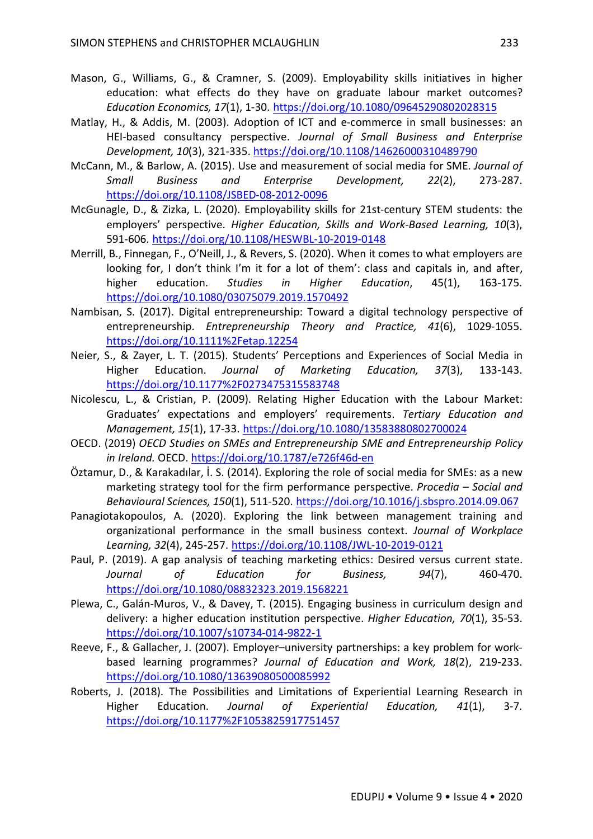- Mason, G., Williams, G., & Cramner, S. (2009). Employability skills initiatives in higher education: what effects do they have on graduate labour market outcomes? *Education Economics, 17*(1), 1-30. https://doi.org/10.1080/09645290802028315
- Matlay, H., & Addis, M. (2003). Adoption of ICT and e-commerce in small businesses: an HEI-based consultancy perspective. *Journal of Small Business and Enterprise Development, 10*(3), 321-335. https://doi.org/10.1108/14626000310489790
- McCann, M., & Barlow, A. (2015). Use and measurement of social media for SME. *Journal of Small Business and Enterprise Development, 22*(2), 273-287. https://doi.org/10.1108/JSBED-08-2012-0096
- McGunagle, D., & Zizka, L. (2020). Employability skills for 21st-century STEM students: the employers' perspective. *Higher Education, Skills and Work-Based Learning, 10*(3), 591-606. https://doi.org/10.1108/HESWBL-10-2019-0148
- Merrill, B., Finnegan, F., O'Neill, J., & Revers, S. (2020). When it comes to what employers are looking for, I don't think I'm it for a lot of them': class and capitals in, and after, higher education. *Studies in Higher Education*, 45(1), 163-175. https://doi.org/10.1080/03075079.2019.1570492
- Nambisan, S. (2017). Digital entrepreneurship: Toward a digital technology perspective of entrepreneurship. *Entrepreneurship Theory and Practice, 41*(6), 1029-1055. https://doi.org/10.1111%2Fetap.12254
- Neier, S., & Zayer, L. T. (2015). Students' Perceptions and Experiences of Social Media in Higher Education. *Journal of Marketing Education, 37*(3), 133-143. https://doi.org/10.1177%2F0273475315583748
- Nicolescu, L., & Cristian, P. (2009). Relating Higher Education with the Labour Market: Graduates' expectations and employers' requirements. *Tertiary Education and Management, 15*(1), 17-33. https://doi.org/10.1080/13583880802700024
- OECD. (2019) *OECD Studies on SMEs and Entrepreneurship SME and Entrepreneurship Policy in Ireland.* OECD. https://doi.org/10.1787/e726f46d-en
- Öztamur, D., & Karakadılar, İ. S. (2014). Exploring the role of social media for SMEs: as a new marketing strategy tool for the firm performance perspective. *Procedia – Social and Behavioural Sciences, 150*(1), 511-520. https://doi.org/10.1016/j.sbspro.2014.09.067
- Panagiotakopoulos, A. (2020). Exploring the link between management training and organizational performance in the small business context. *Journal of Workplace Learning, 32*(4), 245-257. https://doi.org/10.1108/JWL-10-2019-0121
- Paul, P. (2019). A gap analysis of teaching marketing ethics: Desired versus current state. *Journal of Education for Business, 94*(7), 460-470. https://doi.org/10.1080/08832323.2019.1568221
- Plewa, C., Galán-Muros, V., & Davey, T. (2015). Engaging business in curriculum design and delivery: a higher education institution perspective. *Higher Education, 70*(1), 35-53. https://doi.org/10.1007/s10734-014-9822-1
- Reeve, F., & Gallacher, J. (2007). Employer–university partnerships: a key problem for workbased learning programmes? *Journal of Education and Work, 18*(2), 219-233. https://doi.org/10.1080/13639080500085992
- Roberts, J. (2018). The Possibilities and Limitations of Experiential Learning Research in Higher Education. *Journal of Experiential Education, 41*(1), 3-7. https://doi.org/10.1177%2F1053825917751457